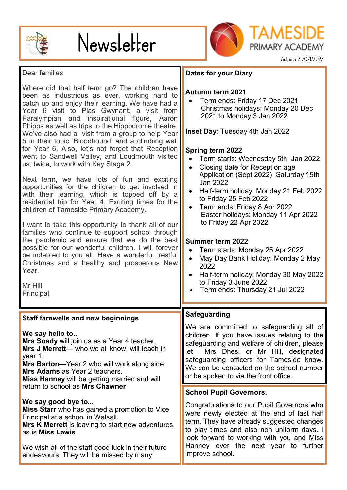

# Newsletter



PRIMARY ACADEMY Autumn 2 2021/2022

TAMESIDE

#### Dear families

Where did that half term go? The children have been as industrious as ever, working hard to catch up and enjoy their learning. We have had a Year 6 visit to Plas Gwynant, a visit from Paralympian and inspirational figure, Aaron Phipps as well as trips to the Hippodrome theatre. We've also had a visit from a group to help Year 5 in their topic 'Bloodhound' and a climbing wall for Year 6. Also, let's not forget that Reception went to Sandwell Valley, and Loudmouth visited us, twice, to work with Key Stage 2.

Next term, we have lots of fun and exciting opportunities for the children to get involved in with their learning, which is topped off by a residential trip for Year 4. Exciting times for the children of Tameside Primary Academy.

I want to take this opportunity to thank all of our families who continue to support school through the pandemic and ensure that we do the best possible for our wonderful children. I will forever be indebted to you all. Have a wonderful, restful Christmas and a healthy and prosperous New Year.

Mr Hill **Principal** 

### **Staff farewells and new beginnings**

**We say hello to...**

**Mrs Soady** will join us as a Year 4 teacher. **Mrs J Merrett**— who we all know, will teach in year 1.

**Mrs Barton**—Year 2 who will work along side **Mrs Adams** as Year 2 teachers.

**Miss Hanney** will be getting married and will return to school as **Mrs Chawner**

# **We say good bye to...**

**Miss Starr** who has gained a promotion to Vice Principal at a school in Walsall.

**Mrs K Merrett** is leaving to start new adventures, as is **Miss Lewis**

We wish all of the staff good luck in their future endeavours. They will be missed by many.

# **Dates for your Diary**

# **Autumn term 2021**

• Term ends: Friday 17 Dec 2021 Christmas holidays: Monday 20 Dec 2021 to Monday 3 Jan 2022

**Inset Day**: Tuesday 4th Jan 2022

# **Spring term 2022**

- Term starts: Wednesday 5th Jan 2022
- Closing date for Reception age Application (Sept 2022) Saturday 15th Jan 2022
- Half-term holiday: Monday 21 Feb 2022 to Friday 25 Feb 2022
- Term ends: Friday 8 Apr 2022 Easter holidays: Monday 11 Apr 2022 to Friday 22 Apr 2022

#### **Summer term 2022**

- Term starts: Monday 25 Apr 2022
- May Day Bank Holiday: Monday 2 May 2022
- Half-term holiday: Monday 30 May 2022 to Friday 3 June 2022
- Term ends: Thursday 21 Jul 2022

#### **Safeguarding**

We are committed to safeguarding all of children. If you have issues relating to the safeguarding and welfare of children, please let Mrs Dhesi or Mr Hill, designated safeguarding officers for Tameside know. We can be contacted on the school number or be spoken to via the front office.

#### **School Pupil Governors.**

Congratulations to our Pupil Governors who were newly elected at the end of last half term. They have already suggested changes to play times and also non uniform days. I look forward to working with you and Miss Hanney over the next year to further improve school.